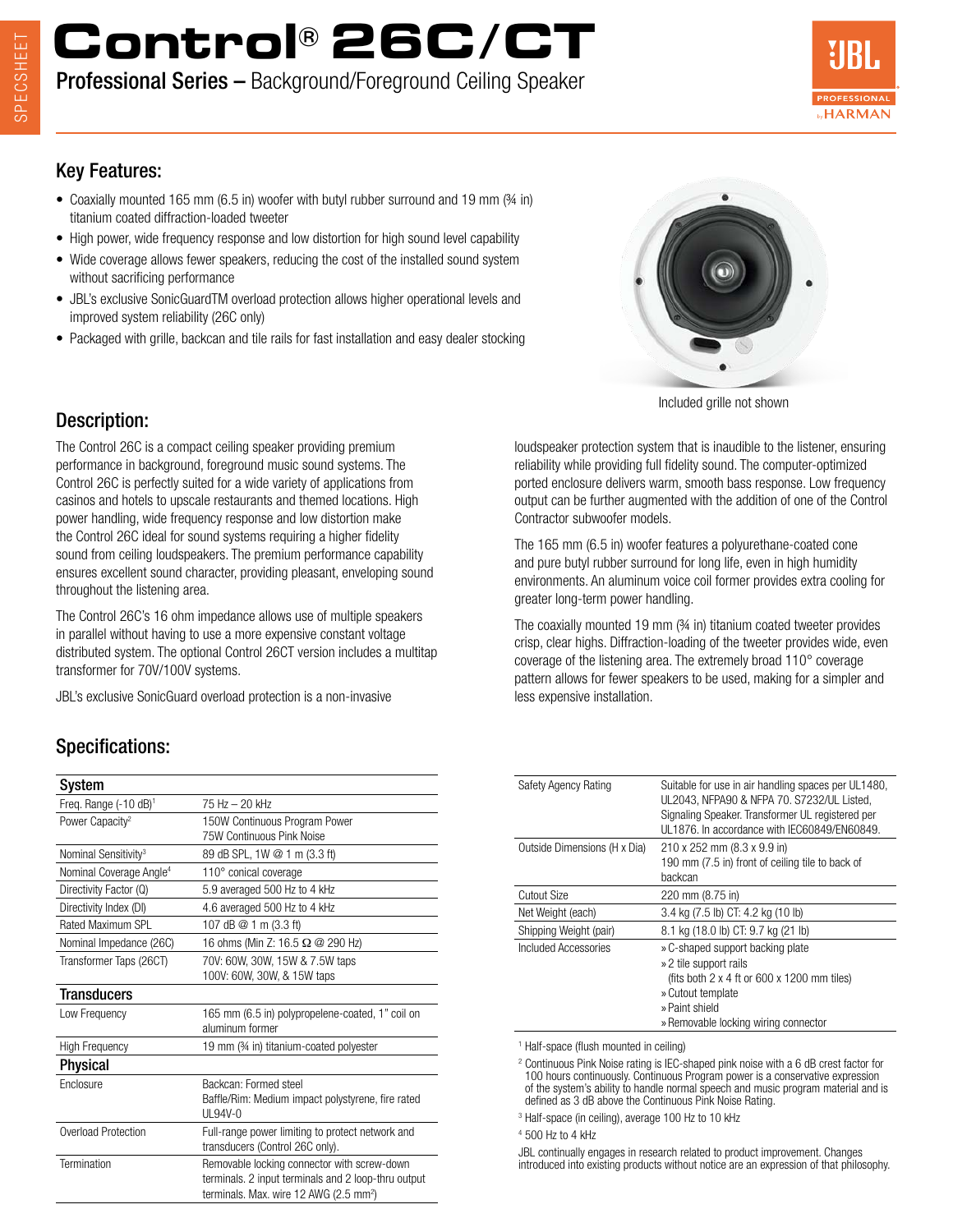## **Control® 26C/CT**

Professional Series – Background/Foreground Ceiling Speaker



#### Key Features:

- Coaxially mounted 165 mm (6.5 in) woofer with butyl rubber surround and 19 mm ( $\frac{3}{4}$  in) titanium coated diffraction-loaded tweeter
- High power, wide frequency response and low distortion for high sound level capability
- Wide coverage allows fewer speakers, reducing the cost of the installed sound system without sacrificing performance
- JBL's exclusive SonicGuardTM overload protection allows higher operational levels and improved system reliability (26C only)
- Packaged with grille, backcan and tile rails for fast installation and easy dealer stocking



Included grille not shown

#### Description:

The Control 26C is a compact ceiling speaker providing premium performance in background, foreground music sound systems. The Control 26C is perfectly suited for a wide variety of applications from casinos and hotels to upscale restaurants and themed locations. High power handling, wide frequency response and low distortion make the Control 26C ideal for sound systems requiring a higher fidelity sound from ceiling loudspeakers. The premium performance capability ensures excellent sound character, providing pleasant, enveloping sound throughout the listening area.

The Control 26C's 16 ohm impedance allows use of multiple speakers in parallel without having to use a more expensive constant voltage distributed system. The optional Control 26CT version includes a multitap transformer for 70V/100V systems.

JBL's exclusive SonicGuard overload protection is a non-invasive

#### Specifications:

| System                              |                                                                                                                                                          |
|-------------------------------------|----------------------------------------------------------------------------------------------------------------------------------------------------------|
| Freq. Range $(-10 \text{ dB})^1$    | 75 Hz - 20 kHz                                                                                                                                           |
| Power Capacity <sup>2</sup>         | 150W Continuous Program Power<br>75W Continuous Pink Noise                                                                                               |
| Nominal Sensitivity <sup>3</sup>    | 89 dB SPL, 1W @ 1 m (3.3 ft)                                                                                                                             |
| Nominal Coverage Angle <sup>4</sup> | 110° conical coverage                                                                                                                                    |
| Directivity Factor (Q)              | 5.9 averaged 500 Hz to 4 kHz                                                                                                                             |
| Directivity Index (DI)              | 4.6 averaged 500 Hz to 4 kHz                                                                                                                             |
| Rated Maximum SPL                   | 107 dB @ 1 m (3.3 ft)                                                                                                                                    |
| Nominal Impedance (26C)             | 16 ohms (Min Z: 16.5 Ω @ 290 Hz)                                                                                                                         |
| Transformer Taps (26CT)             | 70V: 60W, 30W, 15W & 7.5W taps<br>100V: 60W, 30W, & 15W taps                                                                                             |
| <b>Transducers</b>                  |                                                                                                                                                          |
| Low Frequency                       | 165 mm (6.5 in) polypropelene-coated, 1" coil on<br>aluminum former                                                                                      |
| <b>High Frequency</b>               | 19 mm (34 in) titanium-coated polyester                                                                                                                  |
| Physical                            |                                                                                                                                                          |
| Enclosure                           | Backcan: Formed steel<br>Baffle/Rim: Medium impact polystyrene, fire rated<br>$III.94V-0$                                                                |
| Overload Protection                 | Full-range power limiting to protect network and<br>transducers (Control 26C only).                                                                      |
| Termination                         | Removable locking connector with screw-down<br>terminals. 2 input terminals and 2 loop-thru output<br>terminals. Max. wire 12 AWG (2.5 mm <sup>2</sup> ) |

loudspeaker protection system that is inaudible to the listener, ensuring reliability while providing full fidelity sound. The computer-optimized ported enclosure delivers warm, smooth bass response. Low frequency output can be further augmented with the addition of one of the Control Contractor subwoofer models.

The 165 mm (6.5 in) woofer features a polyurethane-coated cone and pure butyl rubber surround for long life, even in high humidity environments. An aluminum voice coil former provides extra cooling for greater long-term power handling.

The coaxially mounted 19 mm (¾ in) titanium coated tweeter provides crisp, clear highs. Diffraction-loading of the tweeter provides wide, even coverage of the listening area. The extremely broad 110° coverage pattern allows for fewer speakers to be used, making for a simpler and less expensive installation.

| Safety Agency Rating         | Suitable for use in air handling spaces per UL1480,<br>UL2043. NFPA90 & NFPA 70. S7232/UL Listed. |
|------------------------------|---------------------------------------------------------------------------------------------------|
|                              | Signaling Speaker. Transformer UL registered per                                                  |
|                              |                                                                                                   |
|                              | UL1876. In accordance with IEC60849/EN60849.                                                      |
| Outside Dimensions (H x Dia) | 210 x 252 mm (8.3 x 9.9 in)                                                                       |
|                              | 190 mm (7.5 in) front of ceiling tile to back of                                                  |
|                              | backcan                                                                                           |
| Cutout Size                  | 220 mm (8.75 in)                                                                                  |
| Net Weight (each)            | 3.4 kg (7.5 lb) CT: 4.2 kg (10 lb)                                                                |
| Shipping Weight (pair)       | 8.1 kg (18.0 lb) CT: 9.7 kg (21 lb)                                                               |
| Included Accessories         | » C-shaped support backing plate                                                                  |
|                              | » 2 tile support rails                                                                            |
|                              | (fits both $2 \times 4$ ft or 600 $\times$ 1200 mm tiles)                                         |
|                              | » Cutout template                                                                                 |
|                              | » Paint shield                                                                                    |
|                              | » Removable locking wiring connector                                                              |

1 Half-space (flush mounted in ceiling)

<sup>2</sup> Continuous Pink Noise rating is IEC-shaped pink noise with a 6 dB crest factor for 100 hours continuously. Continuous Program power is a conservative expression of the system's ability to handle normal speech and music program material and is defined as 3 dB above the Continuous Pink Noise Rating.

3 Half-space (in ceiling), average 100 Hz to 10 kHz

4 500 Hz to 4 kHz

JBL continually engages in research related to product improvement. Changes introduced into existing products without notice are an expression of that philosophy.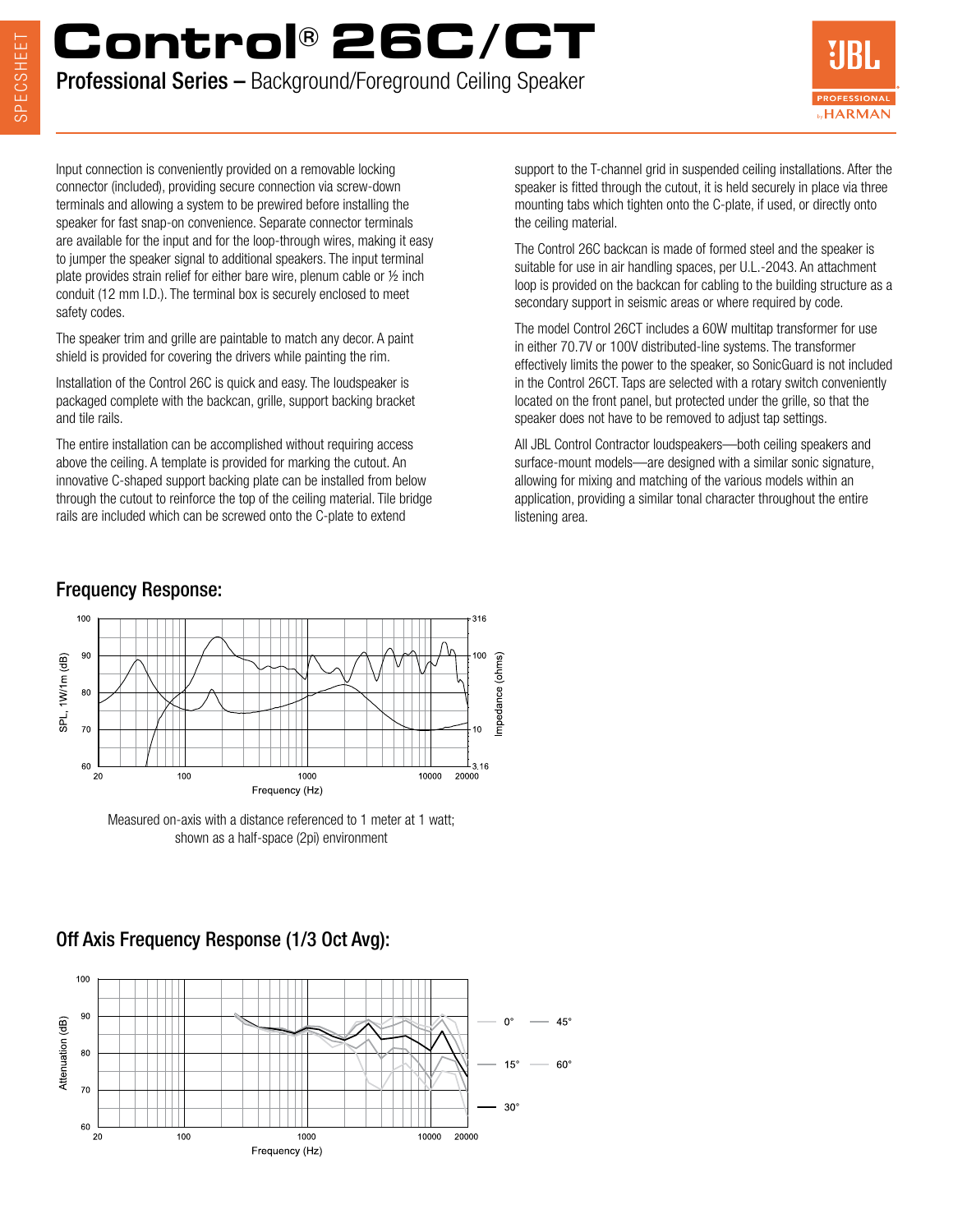# **Control® 26C/CT**

Professional Series – Background/Foreground Ceiling Speaker



Input connection is conveniently provided on a removable locking connector (included), providing secure connection via screw-down terminals and allowing a system to be prewired before installing the speaker for fast snap-on convenience. Separate connector terminals are available for the input and for the loop-through wires, making it easy to jumper the speaker signal to additional speakers. The input terminal plate provides strain relief for either bare wire, plenum cable or ½ inch conduit (12 mm I.D.). The terminal box is securely enclosed to meet safety codes.

The speaker trim and grille are paintable to match any decor. A paint shield is provided for covering the drivers while painting the rim.

Installation of the Control 26C is quick and easy. The loudspeaker is packaged complete with the backcan, grille, support backing bracket and tile rails.

The entire installation can be accomplished without requiring access above the ceiling. A template is provided for marking the cutout. An innovative C-shaped support backing plate can be installed from below through the cutout to reinforce the top of the ceiling material. Tile bridge rails are included which can be screwed onto the C-plate to extend

Frequency Response:

support to the T-channel grid in suspended ceiling installations. After the speaker is fitted through the cutout, it is held securely in place via three mounting tabs which tighten onto the C-plate, if used, or directly onto the ceiling material.

The Control 26C backcan is made of formed steel and the speaker is suitable for use in air handling spaces, per U.L.-2043. An attachment loop is provided on the backcan for cabling to the building structure as a secondary support in seismic areas or where required by code.

The model Control 26CT includes a 60W multitap transformer for use in either 70.7V or 100V distributed-line systems. The transformer effectively limits the power to the speaker, so SonicGuard is not included in the Control 26CT. Taps are selected with a rotary switch conveniently located on the front panel, but protected under the grille, so that the speaker does not have to be removed to adjust tap settings.

All JBL Control Contractor loudspeakers—both ceiling speakers and surface-mount models—are designed with a similar sonic signature, allowing for mixing and matching of the various models within an application, providing a similar tonal character throughout the entire listening area.

#### 100 316 90 l O. mpedance (ohms) SPL, 1W/1m (dB)  $80$  $\overline{70}$ ١Ō 60 .<sub>16</sub>  $20$ 100 1000 10000 20000 Frequency (Hz)

Measured on-axis with a distance referenced to 1 meter at 1 watt; shown as a half-space (2pi) environment

### Off Axis Frequency Response (1/3 Oct Avg):

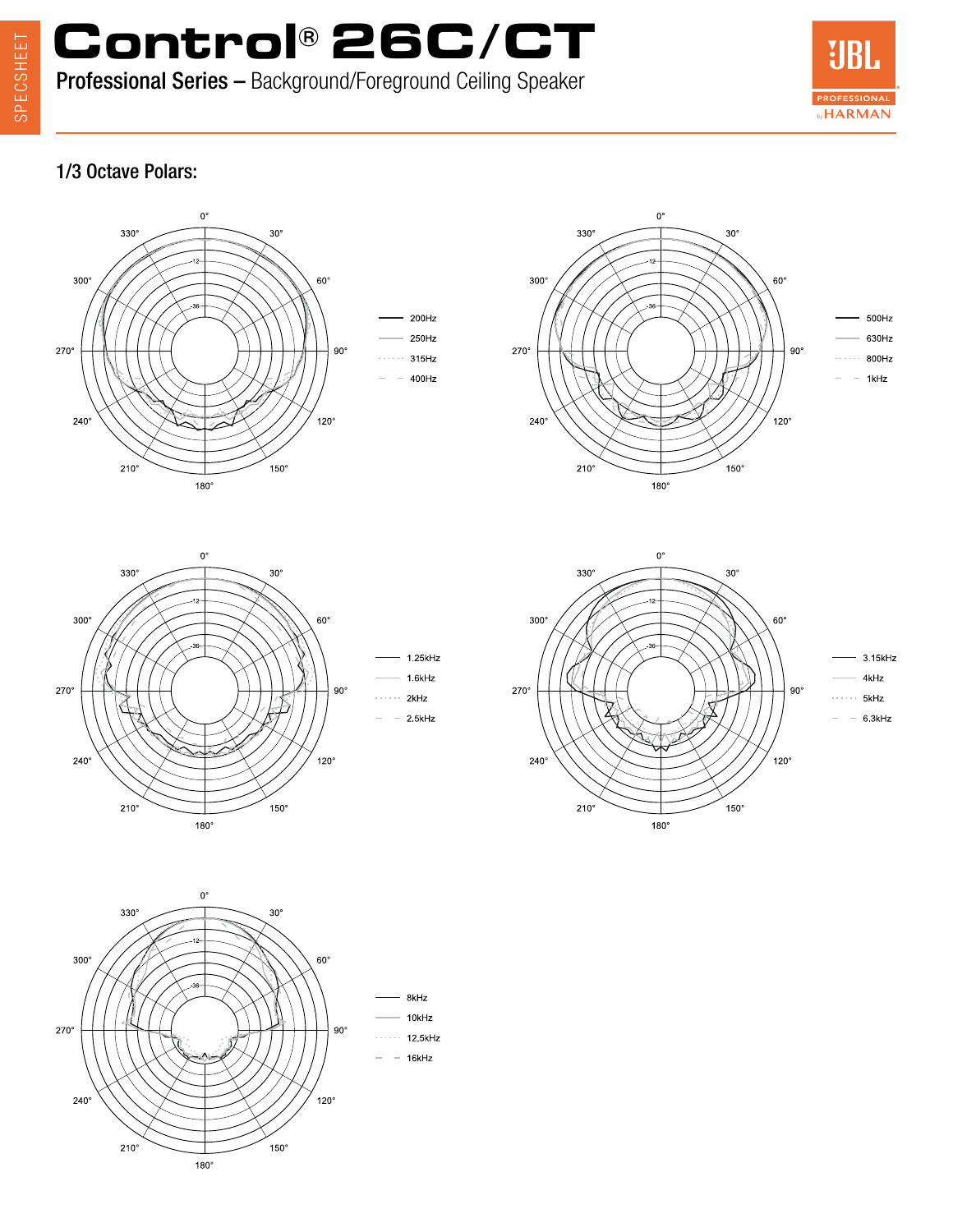SPECSHEET SPECSHEET

**Control® 26C/CT** Professional Series – Background/Foreground Ceiling Speaker



#### 1/3 Octave Polars: